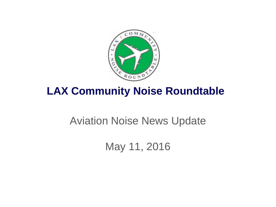

# **LAX Community Noise Roundtable**

# Aviation Noise News Update

May 11, 2016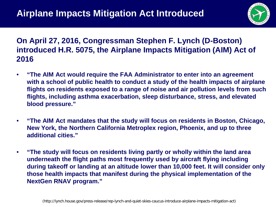

### **On April 27, 2016, Congressman Stephen F. Lynch (D-Boston) introduced H.R. 5075, the Airplane Impacts Mitigation (AIM) Act of 2016**

- **"The AIM Act would require the FAA Administrator to enter into an agreement with a school of public health to conduct a study of the health impacts of airplane flights on residents exposed to a range of noise and air pollution levels from such flights, including asthma exacerbation, sleep disturbance, stress, and elevated blood pressure."**
- **"The AIM Act mandates that the study will focus on residents in Boston, Chicago, New York, the Northern California Metroplex region, Phoenix, and up to three additional cities."**
- **"The study will focus on residents living partly or wholly within the land area underneath the flight paths most frequently used by aircraft flying including during takeoff or landing at an altitude lower than 10,000 feet. It will consider only those health impacts that manifest during the physical implementation of the NextGen RNAV program."**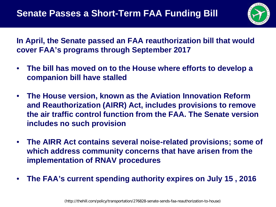

**In April, the Senate passed an FAA reauthorization bill that would cover FAA's programs through September 2017**

- **The bill has moved on to the House where efforts to develop a companion bill have stalled**
- **The House version, known as the Aviation Innovation Reform and Reauthorization (AIRR) Act, includes provisions to remove the air traffic control function from the FAA. The Senate version includes no such provision**
- **The AIRR Act contains several noise-related provisions; some of which address community concerns that have arisen from the implementation of RNAV procedures**
- **The FAA's current spending authority expires on July 15 , 2016**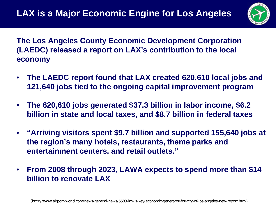

**The Los Angeles County Economic Development Corporation (LAEDC) released a report on LAX's contribution to the local economy**

- **The LAEDC report found that LAX created 620,610 local jobs and 121,640 jobs tied to the ongoing capital improvement program**
- **The 620,610 jobs generated \$37.3 billion in labor income, \$6.2 billion in state and local taxes, and \$8.7 billion in federal taxes**
- **"Arriving visitors spent \$9.7 billion and supported 155,640 jobs at the region's many hotels, restaurants, theme parks and entertainment centers, and retail outlets."**
- **From 2008 through 2023, LAWA expects to spend more than \$14 billion to renovate LAX**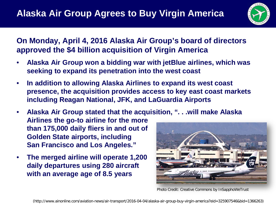

### **On Monday, April 4, 2016 Alaska Air Group's board of directors approved the \$4 billion acquisition of Virgin America**

- **Alaska Air Group won a bidding war with jetBlue airlines, which was seeking to expand its penetration into the west coast**
- **In addition to allowing Alaska Airlines to expand its west coast presence, the acquisition provides access to key east coast markets including Reagan National, JFK, and LaGuardia Airports**
- **Alaska Air Group stated that the acquisition, ". . .will make Alaska**

**Airlines the go-to airline for the more than 175,000 daily fliers in and out of Golden State airports, including San Francisco and Los Angeles."**

• **The merged airline will operate 1,200 daily departures using 280 aircraft with an average age of 8.5 years**



Photo Credit: Creative Commons by InSapphoWeTrust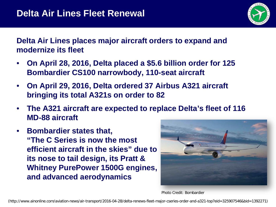

**Delta Air Lines places major aircraft orders to expand and modernize its fleet**

- **On April 28, 2016, Delta placed a \$5.6 billion order for 125 Bombardier CS100 narrowbody, 110-seat aircraft**
- **On April 29, 2016, Delta ordered 37 Airbus A321 aircraft bringing its total A321s on order to 82**
- **The A321 aircraft are expected to replace Delta's fleet of 116 MD-88 aircraft**
- **Bombardier states that, "The C Series is now the most efficient aircraft in the skies" due to its nose to tail design, its Pratt & Whitney PurePower 1500G engines, and advanced aerodynamics**



Photo Credit: Bombardier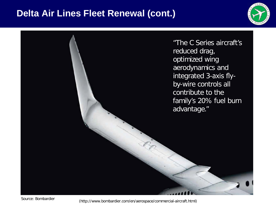### **Delta Air Lines Fleet Renewal (cont.)**



"The C Series aircraft's reduced drag, optimized wing aerodynamics and integrated 3-axis flyby-wire controls all contribute to the family's 20% fuel burn advantage."

(http://www.bombardier.com/en/aerospace/commercial-aircraft.html) Source: Bombardier